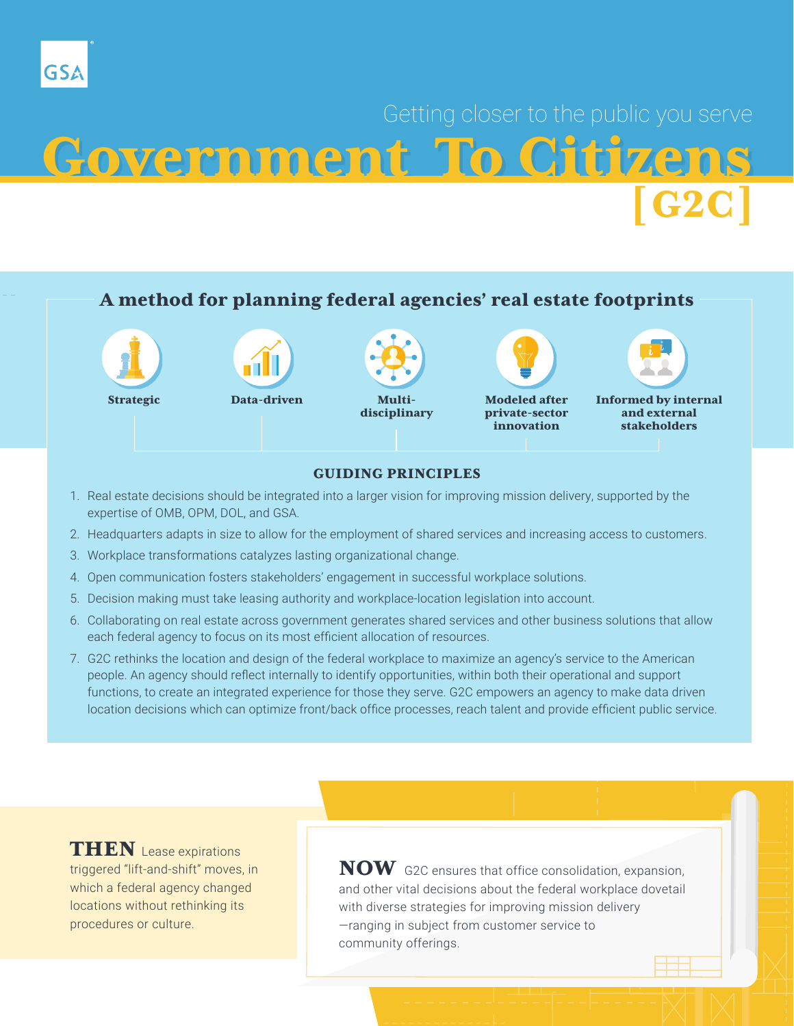# Getting closer to the public you serve Government To Citizens [G2C]

### A method for planning federal agencies' real estate footprints



#### GUIDING PRINCIPLES

- 1. Real estate decisions should be integrated into a larger vision for improving mission delivery, supported by the expertise of OMB, OPM, DOL, and GSA.
- 2. Headquarters adapts in size to allow for the employment of shared services and increasing access to customers.
- 3. Workplace transformations catalyzes lasting organizational change.
- 4. Open communication fosters stakeholders' engagement in successful workplace solutions.
- 5. Decision making must take leasing authority and workplace-location legislation into account.
- 6. Collaborating on real estate across government generates shared services and other business solutions that allow each federal agency to focus on its most efficient allocation of resources.
- 7. G2C rethinks the location and design of the federal workplace to maximize an agency's service to the American people. An agency should reflect internally to identify opportunities, within both their operational and support functions, to create an integrated experience for those they serve. G2C empowers an agency to make data driven location decisions which can optimize front/back office processes, reach talent and provide efficient public service.

**THEN** Lease expirations triggered "lift-and-shift" moves, in which a federal agency changed locations without rethinking its procedures or culture.

GSA

 $\bf{NOW}$  G2C ensures that office consolidation, expansion, and other vital decisions about the federal workplace dovetail with diverse strategies for improving mission delivery —ranging in subject from customer service to community offerings.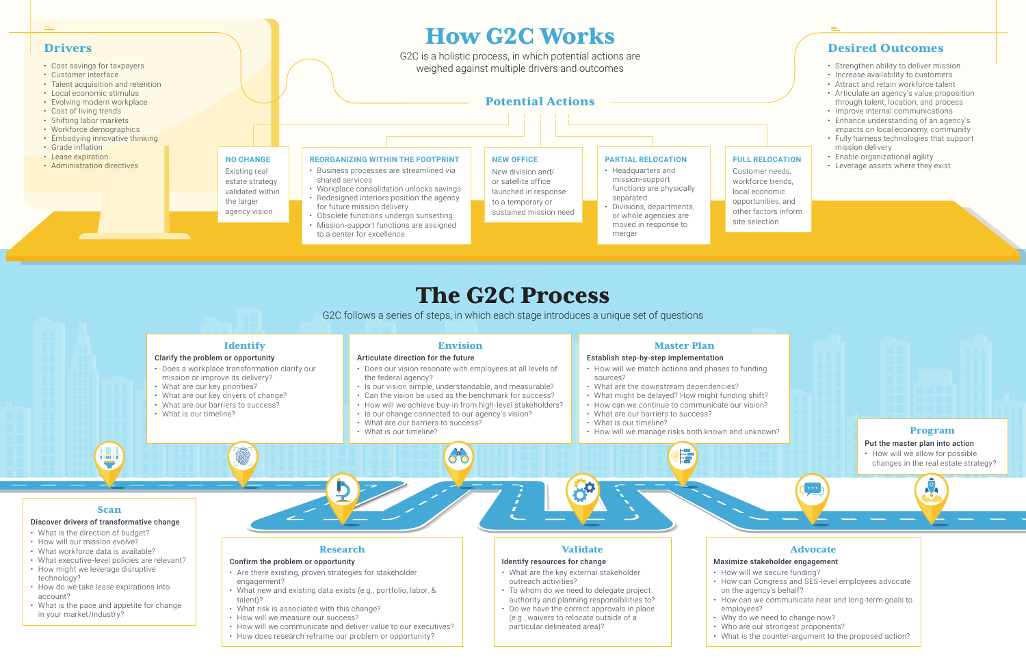### Desired Outcomes

- Strengthen ability to deliver mission
- Increase availability to customers
- Attract and retain workforce talent
- Articulate an agency's value proposition through talent, location, and process
- Improve internal communications
- Enhance understanding of an agency's impacts on local economy, community
- Fully harness technologies that support mission delivery
- Enable organizational agility
- Leverage assets where they exist

## The G2C Process

G2C follows a series of steps, in which each stage introduces a unique set of questions

#### **Identify** Envision Master Plan Articulate direction for the future Clarify the problem or opportunity Establish step-by-step implementation • Does a workplace transformation clarify our • Does our vision resonate with employees at all levels of • How will we match actions and phases to funding mission or improve its delivery? the federal agency? sources? • What are our key priorities? • Is our vision simple, understandable, and measurable? • What are the downstream dependencies? • What are our key drivers of change? • Can the vision be used as the benchmark for success? • What might be delayed? How might funding shift? • What are our barriers to success? • How will we achieve buy-in from high-level stakeholders? • How can we continue to communicate our vision? • What is our timeline? • Is our change connected to our agency's vision? • What are our barriers to success? • What are our barriers to success? • What is our timeline? • What is our timeline? • How will we manage risks both known and unknown? <u>ann</u>  $\delta$ <sup>2</sup> 是 Scan Research Validate Advocate Confirm the problem or opportunity Identify resources for change Maximize stakeholder engagement • Are there existing, proven strategies for stakeholder • What are the key external stakeholder • How will we secure funding? outreach activities? engagement? • What new and existing data exists (e.g., portfolio, labor, & on the agency's behalf? • To whom do we need to delegate project authority and planning responsibilities to? talent)? • What risk is associated with this change? • Do we have the correct approvals in place employees? • How will we measure our success? (e.g., waivers to relocate outside of a • Why do we need to change now?

#### **FULL RELOCATION**

Customer needs, workforce trends, local economic opportunities, and other factors inform

#### Discover drivers of transformative change



- What is the direction of budget?
- How will our mission evolve?
- What workforce data is available?
- What executive-level policies are relevant? • How might we leverage disruptive
- technology?
- How do we take lease expirations into account?
- What is the pace and appetite for change in your market/industry?
- How will we communicate and deliver value to our executives?
- How does research reframe our problem or opportunity?
- particular delineated area)?
- 
- 

- 
- 
- 
- 
- How can Congress and SES-level employees advocate
- How can we communicate near and long-term goals to
	-
- Who are our strongest proponents?
- What is the counter-argument to the proposed action?